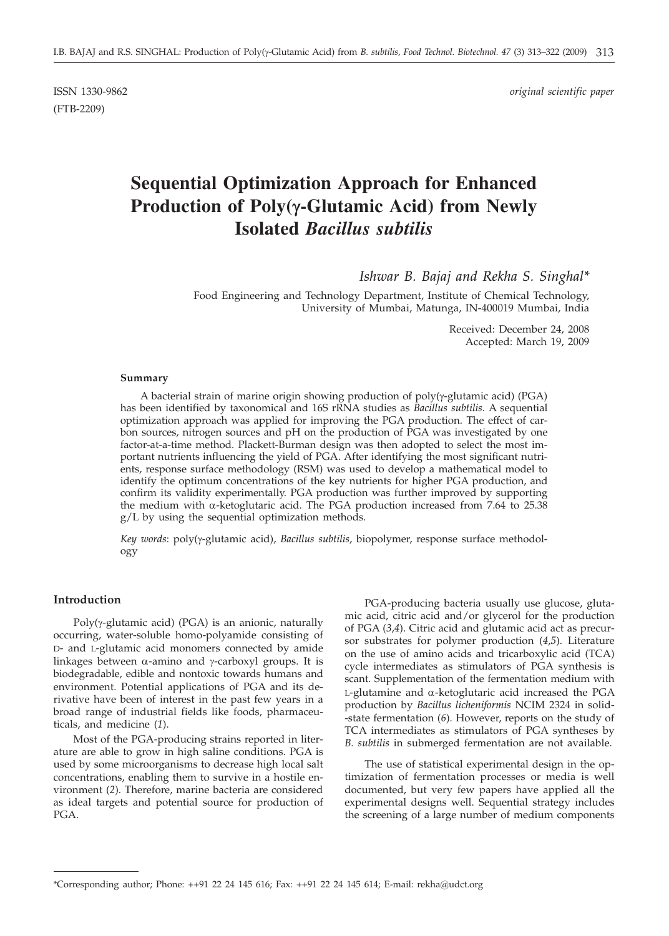(FTB-2209)

ISSN 1330-9862 *original scientific paper*

# **Sequential Optimization Approach for Enhanced Production of Poly(g-Glutamic Acid) from Newly Isolated** *Bacillus subtilis*

*Ishwar B. Bajaj and Rekha S. Singhal\**

Food Engineering and Technology Department, Institute of Chemical Technology, University of Mumbai, Matunga, IN-400019 Mumbai, India

> Received: December 24, 2008 Accepted: March 19, 2009

#### **Summary**

A bacterial strain of marine origin showing production of  $poly(y$ -glutamic acid) (PGA) has been identified by taxonomical and 16S rRNA studies as *Bacillus subtilis*. A sequential optimization approach was applied for improving the PGA production. The effect of carbon sources, nitrogen sources and pH on the production of PGA was investigated by one factor-at-a-time method. Plackett-Burman design was then adopted to select the most important nutrients influencing the yield of PGA. After identifying the most significant nutrients, response surface methodology (RSM) was used to develop a mathematical model to identify the optimum concentrations of the key nutrients for higher PGA production, and confirm its validity experimentally. PGA production was further improved by supporting the medium with a-ketoglutaric acid. The PGA production increased from 7.64 to 25.38 g/L by using the sequential optimization methods.

*Key words*: poly(γ-glutamic acid), *Bacillus subtilis*, biopolymer, response surface methodology

# **Introduction**

Poly( $\gamma$ -glutamic acid) (PGA) is an anionic, naturally occurring, water-soluble homo-polyamide consisting of D- and L-glutamic acid monomers connected by amide linkages between  $\alpha$ -amino and  $\gamma$ -carboxyl groups. It is biodegradable, edible and nontoxic towards humans and environment. Potential applications of PGA and its derivative have been of interest in the past few years in a broad range of industrial fields like foods, pharmaceuticals, and medicine (*1*).

Most of the PGA-producing strains reported in literature are able to grow in high saline conditions. PGA is used by some microorganisms to decrease high local salt concentrations, enabling them to survive in a hostile environment (*2*). Therefore, marine bacteria are considered as ideal targets and potential source for production of PGA.

PGA-producing bacteria usually use glucose, glutamic acid, citric acid and/or glycerol for the production of PGA (*3*,*4*). Citric acid and glutamic acid act as precursor substrates for polymer production (*4*,*5*). Literature on the use of amino acids and tricarboxylic acid (TCA) cycle intermediates as stimulators of PGA synthesis is scant. Supplementation of the fermentation medium with  $L$ -glutamine and  $\alpha$ -ketoglutaric acid increased the PGA production by *Bacillus licheniformis* NCIM 2324 in solid- -state fermentation (*6*). However, reports on the study of TCA intermediates as stimulators of PGA syntheses by *B. subtilis* in submerged fermentation are not available.

The use of statistical experimental design in the optimization of fermentation processes or media is well documented, but very few papers have applied all the experimental designs well. Sequential strategy includes the screening of a large number of medium components

<sup>\*</sup>Corresponding author; Phone:  $++91$  22 24 145 616; Fax:  $++91$  22 24 145 614; E-mail: rekha@udct.org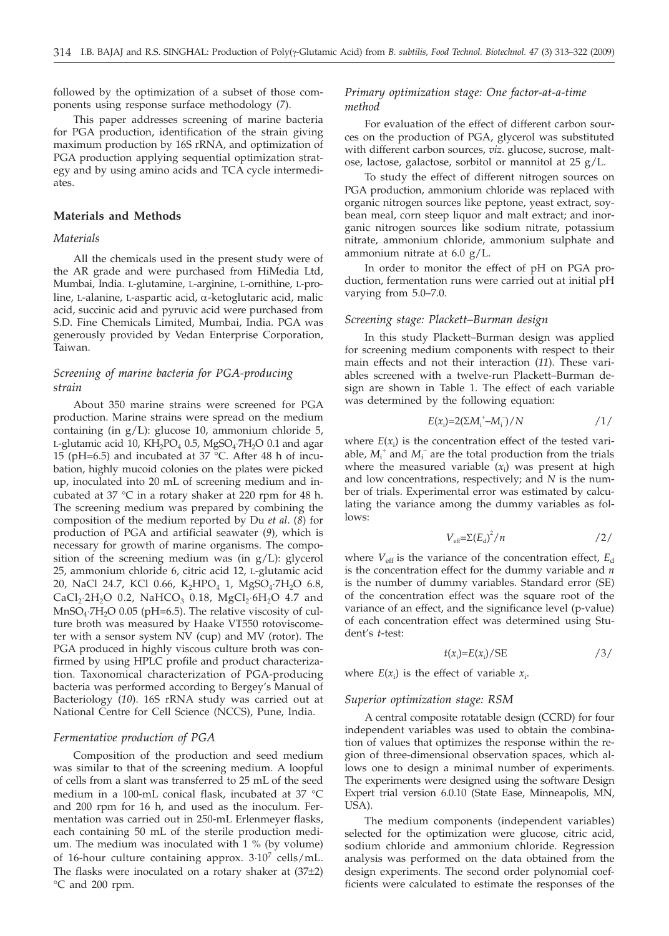followed by the optimization of a subset of those components using response surface methodology (*7*).

This paper addresses screening of marine bacteria for PGA production, identification of the strain giving maximum production by 16S rRNA, and optimization of PGA production applying sequential optimization strategy and by using amino acids and TCA cycle intermediates.

# **Materials and Methods**

# *Materials*

All the chemicals used in the present study were of the AR grade and were purchased from HiMedia Ltd, Mumbai, India. L-glutamine, L-arginine, L-ornithine, L-proline, L-alanine, L-aspartic acid, a-ketoglutaric acid, malic acid, succinic acid and pyruvic acid were purchased from S.D. Fine Chemicals Limited, Mumbai, India. PGA was generously provided by Vedan Enterprise Corporation, Taiwan.

# *Screening of marine bacteria for PGA-producing strain*

About 350 marine strains were screened for PGA production. Marine strains were spread on the medium containing (in g/L): glucose 10, ammonium chloride 5, L-glutamic acid 10,  $KH_2PO_4$  0.5,  $MgSO_4$ ·7 $H_2O$  0.1 and agar 15 (pH=6.5) and incubated at 37 °C. After 48 h of incubation, highly mucoid colonies on the plates were picked up, inoculated into 20 mL of screening medium and incubated at 37 °C in a rotary shaker at 220 rpm for 48 h. The screening medium was prepared by combining the composition of the medium reported by Du *et al*. (*8*) for production of PGA and artificial seawater (*9*), which is necessary for growth of marine organisms. The composition of the screening medium was (in g/L): glycerol 25, ammonium chloride 6, citric acid 12, L-glutamic acid 20, NaCl 24.7, KCl 0.66, K<sub>2</sub>HPO<sub>4</sub> 1, MgSO<sub>4</sub>·7H<sub>2</sub>O 6.8, CaCl<sub>2</sub>⋅2H<sub>2</sub>O 0.2, NaHCO<sub>3</sub> 0.18, MgCl<sub>2</sub>⋅6H<sub>2</sub>O 4.7 and  $MnSO_4$ <sup>-7</sup>H<sub>2</sub>O 0.05 (pH=6.5). The relative viscosity of culture broth was measured by Haake VT550 rotoviscometer with a sensor system NV (cup) and MV (rotor). The PGA produced in highly viscous culture broth was confirmed by using HPLC profile and product characterization. Taxonomical characterization of PGA-producing bacteria was performed according to Bergey's Manual of Bacteriology (*10*). 16S rRNA study was carried out at National Centre for Cell Science (NCCS), Pune, India.

## *Fermentative production of PGA*

Composition of the production and seed medium was similar to that of the screening medium. A loopful of cells from a slant was transferred to 25 mL of the seed medium in a 100-mL conical flask, incubated at 37 °C and 200 rpm for 16 h, and used as the inoculum. Fermentation was carried out in 250-mL Erlenmeyer flasks, each containing 50 mL of the sterile production medium. The medium was inoculated with 1 % (by volume) of 16-hour culture containing approx. 3**×**107 cells/mL. The flasks were inoculated on a rotary shaker at (37±2) °C and 200 rpm.

# *Primary optimization stage: One factor-at-a-time method*

For evaluation of the effect of different carbon sources on the production of PGA, glycerol was substituted with different carbon sources, *viz*. glucose, sucrose, maltose, lactose, galactose, sorbitol or mannitol at 25 g/L.

To study the effect of different nitrogen sources on PGA production, ammonium chloride was replaced with organic nitrogen sources like peptone, yeast extract, soybean meal, corn steep liquor and malt extract; and inorganic nitrogen sources like sodium nitrate, potassium nitrate, ammonium chloride, ammonium sulphate and ammonium nitrate at 6.0 g/L.

In order to monitor the effect of pH on PGA production, fermentation runs were carried out at initial pH varying from 5.0–7.0.

## *Screening stage: Plackett–Burman design*

In this study Plackett–Burman design was applied for screening medium components with respect to their main effects and not their interaction (*11*). These variables screened with a twelve-run Plackett–Burman design are shown in Table 1. The effect of each variable was determined by the following equation:

$$
E(x_i)=2(\Sigma M_i^* - M_i^-)/N
$$
 /1/

where  $E(x_i)$  is the concentration effect of the tested variable,  $M_i^+$  and  $M_i^-$  are the total production from the trials where the measured variable (*x*<sup>i</sup> ) was present at high and low concentrations, respectively; and *N* is the number of trials. Experimental error was estimated by calculating the variance among the dummy variables as follows:

$$
V_{\text{eff}} = \Sigma (E_{\text{d}})^2 / n \qquad \qquad /2 /
$$

where  $V_{\text{eff}}$  is the variance of the concentration effect,  $E_{\text{d}}$ is the concentration effect for the dummy variable and *n* is the number of dummy variables. Standard error (SE) of the concentration effect was the square root of the variance of an effect, and the significance level (p-value) of each concentration effect was determined using Student's *t*-test:

$$
t(x_i) = E(x_i) / SE \t\t(3)
$$

where  $E(x_i)$  is the effect of variable  $x_i$ .

## *Superior optimization stage: RSM*

A central composite rotatable design (CCRD) for four independent variables was used to obtain the combination of values that optimizes the response within the region of three-dimensional observation spaces, which allows one to design a minimal number of experiments. The experiments were designed using the software Design Expert trial version 6.0.10 (State Ease, Minneapolis, MN, USA).

The medium components (independent variables) selected for the optimization were glucose, citric acid, sodium chloride and ammonium chloride. Regression analysis was performed on the data obtained from the design experiments. The second order polynomial coefficients were calculated to estimate the responses of the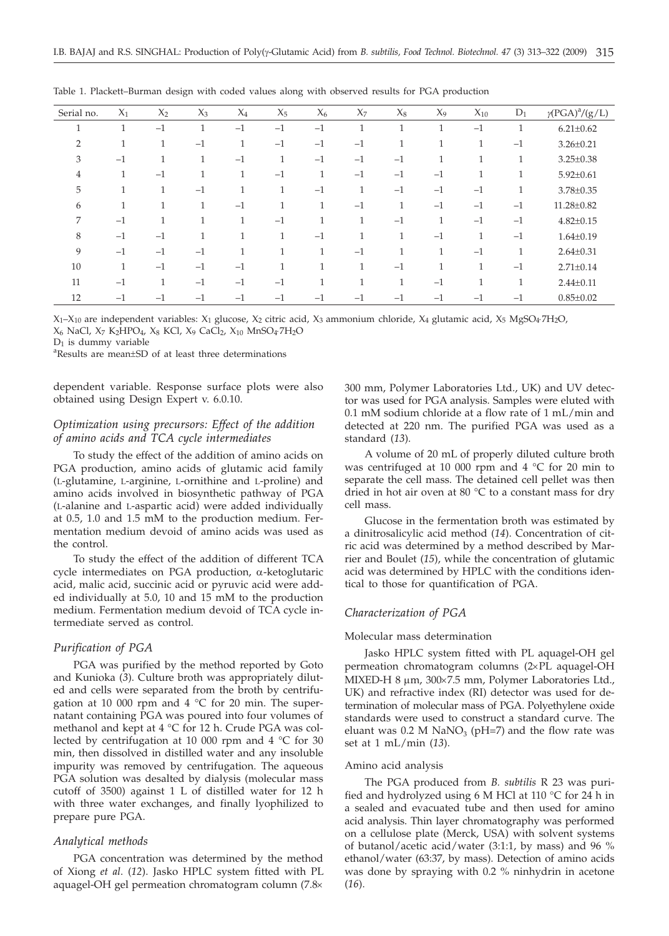| Serial no.     | $X_1$        | $X_2$        | $X_3$        | $X_4$        | $X_5$        | $X_6$    | $X_7$        | $X_8$        | $X_9$         | $X_{10}$     | $D_1$        | $\gamma (\rm{PGA})^a/\underline{(g/L)}$ |
|----------------|--------------|--------------|--------------|--------------|--------------|----------|--------------|--------------|---------------|--------------|--------------|-----------------------------------------|
| 1              | $\mathbf{1}$ | $-1$         | 1            | $-1$         | $-1$         | $-1$     | и            | $\mathbf{1}$ | 1             | $-1$         | $\mathbf{1}$ | $6.21 \pm 0.62$                         |
| $\overline{2}$ |              | 1            | $-1$         | $\mathbf{1}$ | $-1$         | $-1$     | $-1$         | $\mathbf{1}$ | 1             | Τ.           | $-1$         | $3.26 \pm 0.21$                         |
| 3              | $-1$         | $\mathbf{1}$ |              | $-1$         | 1            | $-1$     | $-1$         | $-1$         |               |              | $\mathbf{1}$ | $3.25 \pm 0.38$                         |
| 4              | 1            | $-1$         | $\mathbf{1}$ | 1            | $-1$         | 1        | $-1$         | $-1$         | $-1$          | 1            | $\mathbf{1}$ | $5.92 \pm 0.61$                         |
| 5              | 1            | $\mathbf{1}$ | $-1$         | 1            | 1            | $-1$     | $\mathbf{I}$ | $-1$         | $-1$          | $-1$         | $\mathbf{1}$ | 3.78±0.35                               |
| 6              |              | $\mathbf{1}$ | 1            | $-1$         | $\mathbf{1}$ | 1        | $-1$         | $\mathbf{1}$ | $-1$          | $-1$         | $-1$         | 11.28±0.82                              |
| 7              | $-1$         | $\mathbf{1}$ | 1            | 1            | $-1$         | 1        |              | $-1$         | 1             | $-1$         | $-1$         | $4.82 \pm 0.15$                         |
| 8              | $-1$         | $-1$         |              |              | 1            | $-1$     |              | $\mathbf{1}$ | $-1$          |              | $-1$         | $1.64 \pm 0.19$                         |
| 9              | $-1$         | $-1$         | $-1$         |              | 1            | <b>1</b> | $-1$         | 1            | $\mathcal{I}$ | $-1$         | 1            | $2.64 \pm 0.31$                         |
| 10             |              | $-1$         | $-1$         | $-1$         | 1            | и        | и            | $-1$         | -1            | $\mathbf{I}$ | $-1$         | $2.71 \pm 0.14$                         |
| 11             | $-1$         | $\mathbf{1}$ | $-1$         | $-1$         | $-1$         | 1        | 1            | $\mathbf{1}$ | $-1$          | 1            | $\mathbf{1}$ | $2.44 \pm 0.11$                         |
| 12             | $-1$         | $-1$         | $-1$         | $-1$         | $-1$         | $-1$     | $-1$         | $-1$         | $-1$          | $-1$         | $-1$         | $0.85 \pm 0.02$                         |

Table 1. Plackett–Burman design with coded values along with observed results for PGA production

 $X_1 - X_{10}$  are independent variables:  $X_1$  glucose,  $X_2$  citric acid,  $X_3$  ammonium chloride,  $X_4$  glutamic acid,  $X_5$  MgSO<sub>4</sub>·7H<sub>2</sub>O,

X6 NaCl, X7 K2HPO4, X8 KCl, X9 CaCl2, X10 MnSO4×7H2O

 $D_1$  is dummy variable

Results are mean±SD of at least three determinations

dependent variable. Response surface plots were also obtained using Design Expert v. 6.0.10.

# *Optimization using precursors: Effect of the addition of amino acids and TCA cycle intermediates*

To study the effect of the addition of amino acids on PGA production, amino acids of glutamic acid family (L-glutamine, L-arginine, L-ornithine and L-proline) and amino acids involved in biosynthetic pathway of PGA (L-alanine and L-aspartic acid) were added individually at 0.5, 1.0 and 1.5 mM to the production medium. Fermentation medium devoid of amino acids was used as the control.

To study the effect of the addition of different TCA cycle intermediates on PGA production,  $\alpha$ -ketoglutaric acid, malic acid, succinic acid or pyruvic acid were added individually at 5.0, 10 and 15 mM to the production medium. Fermentation medium devoid of TCA cycle intermediate served as control.

# *Purification of PGA*

PGA was purified by the method reported by Goto and Kunioka (*3*). Culture broth was appropriately diluted and cells were separated from the broth by centrifugation at 10 000 rpm and 4 °C for 20 min. The supernatant containing PGA was poured into four volumes of methanol and kept at 4 °C for 12 h. Crude PGA was collected by centrifugation at 10 000 rpm and 4 °C for 30 min, then dissolved in distilled water and any insoluble impurity was removed by centrifugation. The aqueous PGA solution was desalted by dialysis (molecular mass cutoff of 3500) against 1 L of distilled water for 12 h with three water exchanges, and finally lyophilized to prepare pure PGA.

# *Analytical methods*

PGA concentration was determined by the method of Xiong *et al*. (*12*). Jasko HPLC system fitted with PL aquagel-OH gel permeation chromatogram column (7.8´

300 mm, Polymer Laboratories Ltd., UK) and UV detector was used for PGA analysis. Samples were eluted with 0.1 mM sodium chloride at a flow rate of 1 mL/min and detected at 220 nm. The purified PGA was used as a standard (*13*).

A volume of 20 mL of properly diluted culture broth was centrifuged at 10 000 rpm and 4  $\degree$ C for 20 min to separate the cell mass. The detained cell pellet was then dried in hot air oven at 80 $\degree$ C to a constant mass for dry cell mass.

Glucose in the fermentation broth was estimated by a dinitrosalicylic acid method (*14*). Concentration of citric acid was determined by a method described by Marrier and Boulet (*15*), while the concentration of glutamic acid was determined by HPLC with the conditions identical to those for quantification of PGA.

## *Characterization of PGA*

## Molecular mass determination

Jasko HPLC system fitted with PL aquagel-OH gel permeation chromatogram columns  $(2\times$ PL aquagel-OH MIXED-H 8 um, 300×7.5 mm, Polymer Laboratories Ltd., UK) and refractive index (RI) detector was used for determination of molecular mass of PGA. Polyethylene oxide standards were used to construct a standard curve. The eluant was 0.2 M NaNO<sub>3</sub> (pH=7) and the flow rate was set at 1 mL/min (*13*).

#### Amino acid analysis

The PGA produced from *B. subtilis* R 23 was purified and hydrolyzed using 6 M HCl at 110 °C for 24 h in a sealed and evacuated tube and then used for amino acid analysis. Thin layer chromatography was performed on a cellulose plate (Merck, USA) with solvent systems of butanol/acetic acid/water (3:1:1, by mass) and 96 % ethanol/water (63:37, by mass). Detection of amino acids was done by spraying with 0.2 % ninhydrin in acetone (*16*).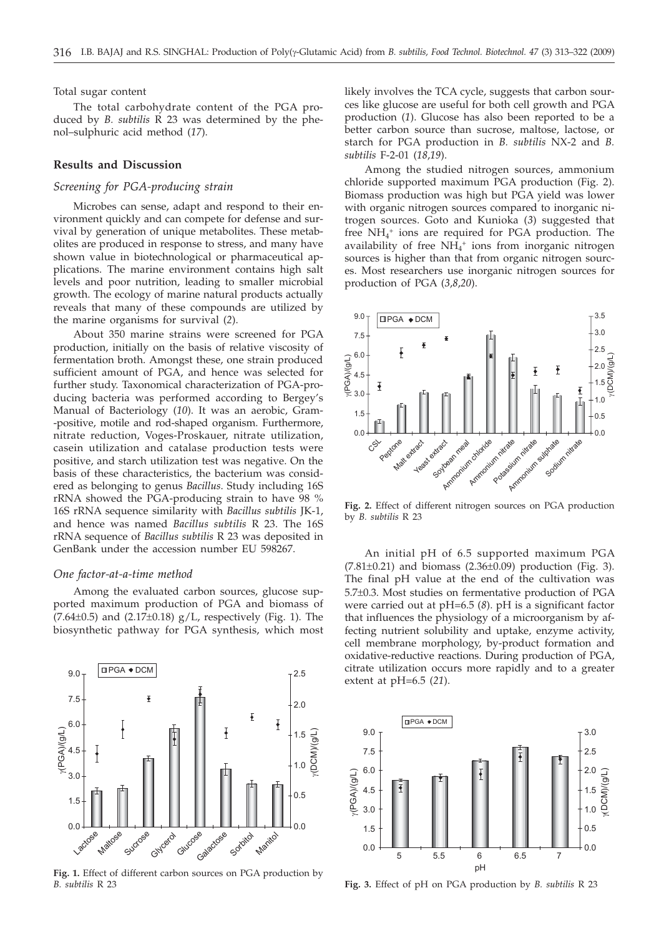# Total sugar content

The total carbohydrate content of the PGA produced by *B. subtilis* R 23 was determined by the phenol–sulphuric acid method (*17*).

# **Results and Discussion**

# *Screening for PGA-producing strain*

Microbes can sense, adapt and respond to their environment quickly and can compete for defense and survival by generation of unique metabolites. These metabolites are produced in response to stress, and many have shown value in biotechnological or pharmaceutical applications. The marine environment contains high salt levels and poor nutrition, leading to smaller microbial growth. The ecology of marine natural products actually reveals that many of these compounds are utilized by the marine organisms for survival (*2*).

About 350 marine strains were screened for PGA production, initially on the basis of relative viscosity of fermentation broth. Amongst these, one strain produced sufficient amount of PGA, and hence was selected for further study. Taxonomical characterization of PGA-producing bacteria was performed according to Bergey's Manual of Bacteriology (*10*). It was an aerobic, Gram- -positive, motile and rod-shaped organism. Furthermore, nitrate reduction, Voges-Proskauer, nitrate utilization, casein utilization and catalase production tests were positive, and starch utilization test was negative. On the basis of these characteristics, the bacterium was considered as belonging to genus *Bacillus*. Study including 16S rRNA showed the PGA-producing strain to have 98 % 16S rRNA sequence similarity with *Bacillus subtilis* JK-1, and hence was named *Bacillus subtilis* R 23. The 16S rRNA sequence of *Bacillus subtilis* R 23 was deposited in GenBank under the accession number EU 598267.

### *One factor-at-a-time method*

Among the evaluated carbon sources, glucose supported maximum production of PGA and biomass of (7.64 $\pm$ 0.5) and (2.17 $\pm$ 0.18) g/L, respectively (Fig. 1). The biosynthetic pathway for PGA synthesis, which most



**Fig. 1.** Effect of different carbon sources on PGA production by *B. subtilis* R 23

likely involves the TCA cycle, suggests that carbon sources like glucose are useful for both cell growth and PGA production (*1*). Glucose has also been reported to be a better carbon source than sucrose, maltose, lactose, or starch for PGA production in *B. subtilis* NX-2 and *B. subtilis* F-2-01 (*18*,*19*).

Among the studied nitrogen sources, ammonium chloride supported maximum PGA production (Fig. 2). Biomass production was high but PGA yield was lower with organic nitrogen sources compared to inorganic nitrogen sources. Goto and Kunioka (*3*) suggested that free NH<sub>4</sub><sup>+</sup> ions are required for PGA production. The availability of free  $NH_4^+$  ions from inorganic nitrogen sources is higher than that from organic nitrogen sources. Most researchers use inorganic nitrogen sources for production of PGA (*3*,*8*,*20*).



**Fig. 2.** Effect of different nitrogen sources on PGA production by *B. subtilis* R 23

An initial pH of 6.5 supported maximum PGA  $(7.81\pm0.21)$  and biomass  $(2.36\pm0.09)$  production (Fig. 3). The final pH value at the end of the cultivation was 5.7±0.3. Most studies on fermentative production of PGA were carried out at pH=6.5 (*8*). pH is a significant factor that influences the physiology of a microorganism by affecting nutrient solubility and uptake, enzyme activity, cell membrane morphology, by-product formation and oxidative-reductive reactions. During production of PGA, citrate utilization occurs more rapidly and to a greater extent at pH=6.5 (*21*).



**Fig. 3.** Effect of pH on PGA production by *B. subtilis* R 23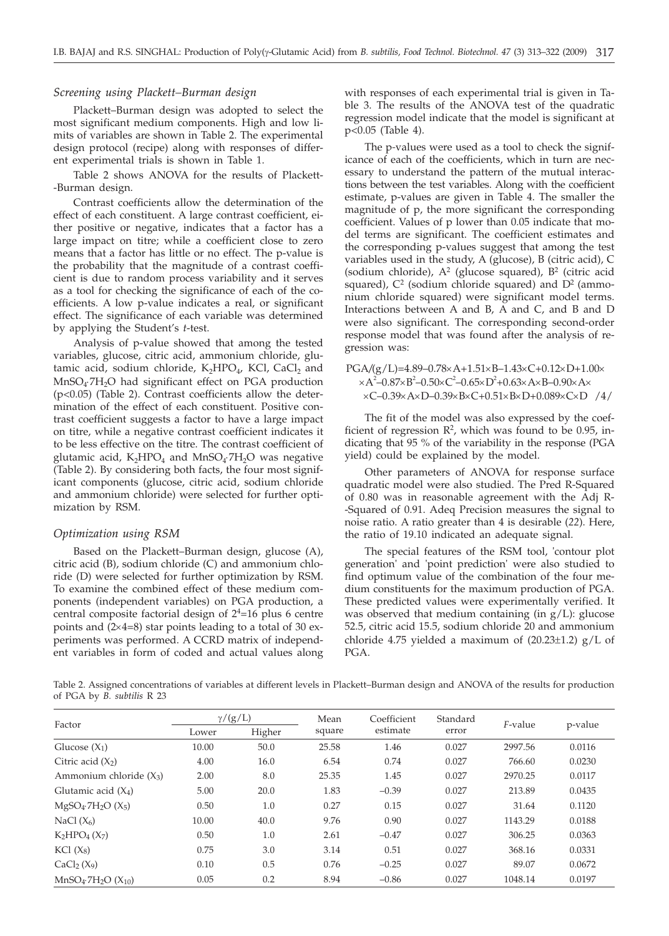## *Screening using Plackett–Burman design*

Plackett–Burman design was adopted to select the most significant medium components. High and low limits of variables are shown in Table 2. The experimental design protocol (recipe) along with responses of different experimental trials is shown in Table 1.

Table 2 shows ANOVA for the results of Plackett- -Burman design.

Contrast coefficients allow the determination of the effect of each constituent. A large contrast coefficient, either positive or negative, indicates that a factor has a large impact on titre; while a coefficient close to zero means that a factor has little or no effect. The p-value is the probability that the magnitude of a contrast coefficient is due to random process variability and it serves as a tool for checking the significance of each of the coefficients. A low p-value indicates a real, or significant effect. The significance of each variable was determined by applying the Student's *t*-test.

Analysis of p-value showed that among the tested variables, glucose, citric acid, ammonium chloride, glutamic acid, sodium chloride,  $K_2HPO_4$ , KCl, CaCl<sub>2</sub> and  $MnSO_4$ <sup>-7H<sub>2</sub>O had significant effect on PGA production</sup> (p<0.05) (Table 2). Contrast coefficients allow the determination of the effect of each constituent. Positive contrast coefficient suggests a factor to have a large impact on titre, while a negative contrast coefficient indicates it to be less effective on the titre. The contrast coefficient of glutamic acid,  $K_2HPO_4$  and  $MnSO_4$ <sup>-7</sup>H<sub>2</sub>O was negative (Table 2). By considering both facts, the four most significant components (glucose, citric acid, sodium chloride and ammonium chloride) were selected for further optimization by RSM.

## *Optimization using RSM*

Based on the Plackett–Burman design, glucose (A), citric acid (B), sodium chloride (C) and ammonium chloride (D) were selected for further optimization by RSM. To examine the combined effect of these medium components (independent variables) on PGA production, a central composite factorial design of  $2<sup>4</sup>=16$  plus 6 centre points and  $(2\times4=8)$  star points leading to a total of 30 experiments was performed. A CCRD matrix of independent variables in form of coded and actual values along with responses of each experimental trial is given in Table 3. The results of the ANOVA test of the quadratic regression model indicate that the model is significant at p<0.05 (Table 4).

The p*-*values were used as a tool to check the significance of each of the coefficients, which in turn are necessary to understand the pattern of the mutual interactions between the test variables. Along with the coefficient estimate, p-values are given in Table 4. The smaller the magnitude of p, the more significant the corresponding coefficient. Values of p lower than 0.05 indicate that model terms are significant. The coefficient estimates and the corresponding p-values suggest that among the test variables used in the study, A (glucose), B (citric acid), C (sodium chloride),  $A^2$  (glucose squared),  $B^2$  (citric acid squared),  $C^2$  (sodium chloride squared) and  $D^2$  (ammonium chloride squared) were significant model terms. Interactions between A and B, A and C, and B and D were also significant. The corresponding second-order response model that was found after the analysis of regression was:

PGA/(g/L)=4.89-0.78×A+1.51×B-1.43×C+0.12×D+1.00×  $\times$ A<sup>2</sup>-0.87×B<sup>2</sup>-0.50×C<sup>2</sup>-0.65×D<sup>2</sup>+0.63×A×B-0.90×A×  $\times$ C–0.39 $\times$ A $\times$ D–0.39 $\times$ B $\times$ C+0.51 $\times$ B $\times$ D+0.089 $\times$ C $\times$ D /4/

The fit of the model was also expressed by the coefficient of regression  $\mathbb{R}^2$ , which was found to be 0.95, indicating that 95 % of the variability in the response (PGA yield) could be explained by the model.

Other parameters of ANOVA for response surface quadratic model were also studied. The Pred R-Squared of 0.80 was in reasonable agreement with the Adj R- -Squared of 0.91. Adeq Precision measures the signal to noise ratio. A ratio greater than 4 is desirable (*22*). Here, the ratio of 19.10 indicated an adequate signal.

The special features of the RSM tool, 'contour plot generation' and 'point prediction' were also studied to find optimum value of the combination of the four medium constituents for the maximum production of PGA. These predicted values were experimentally verified. It was observed that medium containing (in g/L): glucose 52.5, citric acid 15.5, sodium chloride 20 and ammonium chloride 4.75 yielded a maximum of  $(20.23\pm1.2)$  g/L of PGA.

Table 2. Assigned concentrations of variables at different levels in Plackett–Burman design and ANOVA of the results for production of PGA by *B. subtilis* R 23

| Factor                                  |       | $\gamma/(g/L)$ | Mean   | Coefficient | Standard | F-value | p-value |
|-----------------------------------------|-------|----------------|--------|-------------|----------|---------|---------|
|                                         | Lower | Higher         | square | estimate    | error    |         |         |
| Glucose $(X_1)$                         | 10.00 | 50.0           | 25.58  | 1.46        | 0.027    | 2997.56 | 0.0116  |
| Citric acid $(X2)$                      | 4.00  | 16.0           | 6.54   | 0.74        | 0.027    | 766.60  | 0.0230  |
| Ammonium chloride $(X_3)$               | 2.00  | 8.0            | 25.35  | 1.45        | 0.027    | 2970.25 | 0.0117  |
| Glutamic acid $(X_4)$                   | 5.00  | 20.0           | 1.83   | $-0.39$     | 0.027    | 213.89  | 0.0435  |
| $MgSO_4$ -7H <sub>2</sub> O $(X_5)$     | 0.50  | 1.0            | 0.27   | 0.15        | 0.027    | 31.64   | 0.1120  |
| NaCl $(X_6)$                            | 10.00 | 40.0           | 9.76   | 0.90        | 0.027    | 1143.29 | 0.0188  |
| $K_2HPO_4(X_7)$                         | 0.50  | 1.0            | 2.61   | $-0.47$     | 0.027    | 306.25  | 0.0363  |
| $KCl(X_8)$                              | 0.75  | 3.0            | 3.14   | 0.51        | 0.027    | 368.16  | 0.0331  |
| CaCl <sub>2</sub> (X <sub>9</sub> )     | 0.10  | 0.5            | 0.76   | $-0.25$     | 0.027    | 89.07   | 0.0672  |
| $MnSO_4$ : 7H <sub>2</sub> O $(X_{10})$ | 0.05  | 0.2            | 8.94   | $-0.86$     | 0.027    | 1048.14 | 0.0197  |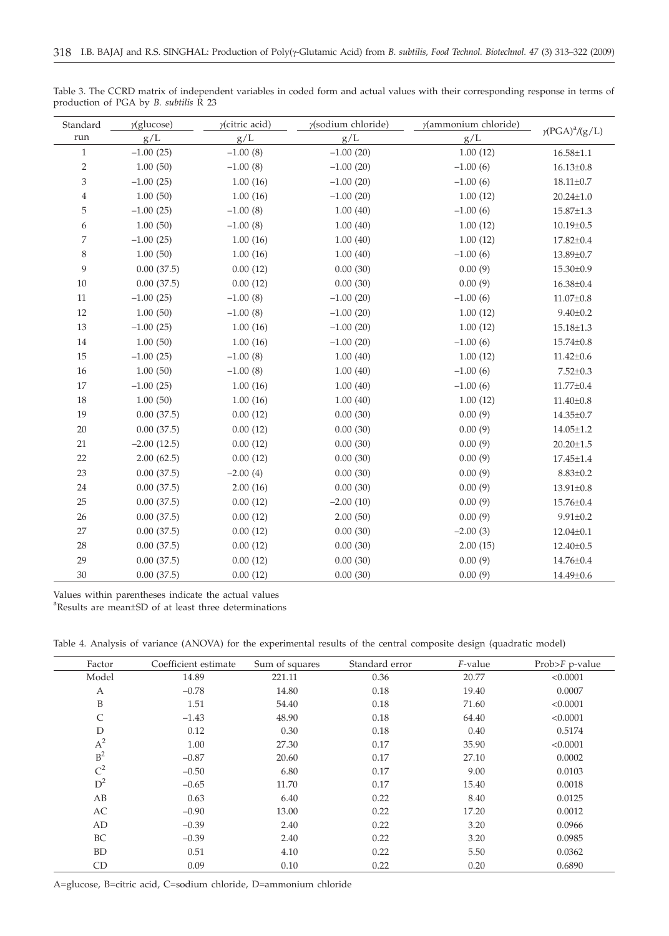| Standard       | $\gamma$ (glucose) | $\gamma$ (citric acid) | y(sodium chloride) | y(ammonium chloride) |                                    |
|----------------|--------------------|------------------------|--------------------|----------------------|------------------------------------|
| run            | g/L                | g/L                    | g/L                | g/L                  | $\gamma$ (PGA) <sup>a</sup> /(g/L) |
| $\mathbf{1}$   | $-1.00(25)$        | $-1.00(8)$             | $-1.00(20)$        | 1.00(12)             | $16.58 \pm 1.1$                    |
| $\overline{2}$ | 1.00(50)           | $-1.00(8)$             | $-1.00(20)$        | $-1.00(6)$           | $16.13 \pm 0.8$                    |
| 3              | $-1.00(25)$        | 1.00(16)               | $-1.00(20)$        | $-1.00(6)$           | $18.11 \pm 0.7$                    |
| $\,4$          | 1.00(50)           | 1.00(16)               | $-1.00(20)$        | 1.00(12)             | $20.24 \pm 1.0$                    |
| 5              | $-1.00(25)$        | $-1.00(8)$             | 1.00(40)           | $-1.00(6)$           | $15.87 \pm 1.3$                    |
| 6              | 1.00(50)           | $-1.00(8)$             | 1.00(40)           | 1.00(12)             | $10.19 \pm 0.5$                    |
| 7              | $-1.00(25)$        | 1.00(16)               | 1.00(40)           | 1.00(12)             | $17.82{\pm}0.4$                    |
| $\,$ 8 $\,$    | 1.00(50)           | 1.00(16)               | 1.00(40)           | $-1.00(6)$           | 13.89±0.7                          |
| 9              | 0.00(37.5)         | 0.00(12)               | 0.00(30)           | 0.00(9)              | $15.30 \pm 0.9$                    |
| $10\,$         | 0.00(37.5)         | 0.00(12)               | 0.00(30)           | 0.00(9)              | $16.38 \pm 0.4$                    |
| 11             | $-1.00(25)$        | $-1.00(8)$             | $-1.00(20)$        | $-1.00(6)$           | $11.07 \pm 0.8$                    |
| 12             | 1.00(50)           | $-1.00(8)$             | $-1.00(20)$        | 1.00(12)             | $9.40 \pm 0.2$                     |
| 13             | $-1.00(25)$        | 1.00(16)               | $-1.00(20)$        | 1.00(12)             | $15.18 \pm 1.3$                    |
| 14             | 1.00(50)           | 1.00(16)               | $-1.00(20)$        | $-1.00(6)$           | $15.74 \pm 0.8$                    |
| 15             | $-1.00(25)$        | $-1.00(8)$             | 1.00(40)           | 1.00(12)             | $11.42 \pm 0.6$                    |
| 16             | 1.00(50)           | $-1.00(8)$             | 1.00(40)           | $-1.00(6)$           | $7.52 \pm 0.3$                     |
| 17             | $-1.00(25)$        | 1.00(16)               | 1.00(40)           | $-1.00(6)$           | $11.77 \pm 0.4$                    |
| 18             | 1.00(50)           | 1.00(16)               | 1.00(40)           | 1.00(12)             | $11.40{\pm}0.8$                    |
| 19             | 0.00(37.5)         | 0.00(12)               | 0.00(30)           | 0.00(9)              | 14.35±0.7                          |
| $20\,$         | 0.00(37.5)         | 0.00(12)               | 0.00(30)           | 0.00(9)              | $14.05 \pm 1.2$                    |
| 21             | $-2.00(12.5)$      | 0.00(12)               | 0.00(30)           | 0.00(9)              | $20.20 \pm 1.5$                    |
| 22             | 2.00(62.5)         | 0.00(12)               | 0.00(30)           | 0.00(9)              | $17.45 \pm 1.4$                    |
| 23             | 0.00(37.5)         | $-2.00(4)$             | 0.00(30)           | 0.00(9)              | $8.83 \pm 0.2$                     |
| 24             | 0.00(37.5)         | 2.00(16)               | 0.00(30)           | 0.00(9)              | $13.91 \pm 0.8$                    |
| 25             | 0.00(37.5)         | 0.00(12)               | $-2.00(10)$        | 0.00(9)              | $15.76 \pm 0.4$                    |
| 26             | 0.00(37.5)         | 0.00(12)               | 2.00(50)           | 0.00(9)              | $9.91 \pm 0.2$                     |
| 27             | 0.00(37.5)         | 0.00(12)               | 0.00(30)           | $-2.00(3)$           | $12.04 \pm 0.1$                    |
| 28             | 0.00(37.5)         | 0.00(12)               | 0.00(30)           | 2.00(15)             | $12.40 \pm 0.5$                    |
| 29             | 0.00(37.5)         | 0.00(12)               | 0.00(30)           | 0.00(9)              | $14.76 \pm 0.4$                    |
| 30             | 0.00(37.5)         | 0.00(12)               | 0.00(30)           | 0.00(9)              | $14.49 \pm 0.6$                    |

Table 3. The CCRD matrix of independent variables in coded form and actual values with their corresponding response in terms of production of PGA by *B. subtilis* R 23

Values within parentheses indicate the actual values

a Results are mean±SD of at least three determinations

Table 4. Analysis of variance (ANOVA) for the experimental results of the central composite design (quadratic model)

| Factor         | Coefficient estimate | Sum of squares | Standard error | F-value | Prob> $F$ p-value |
|----------------|----------------------|----------------|----------------|---------|-------------------|
| Model          | 14.89                | 221.11         | 0.36           | 20.77   | < 0.0001          |
| А              | $-0.78$              | 14.80          | 0.18           | 19.40   | 0.0007            |
| B              | 1.51                 | 54.40          | 0.18           | 71.60   | < 0.0001          |
| C              | $-1.43$              | 48.90          | 0.18           | 64.40   | < 0.0001          |
| D              | 0.12                 | 0.30           | 0.18           | 0.40    | 0.5174            |
| $A^2$          | 1.00                 | 27.30          | 0.17           | 35.90   | < 0.0001          |
| B <sup>2</sup> | $-0.87$              | 20.60          | 0.17           | 27.10   | 0.0002            |
| $C^2$          | $-0.50$              | 6.80           | 0.17           | 9.00    | 0.0103            |
| $D^2$          | $-0.65$              | 11.70          | 0.17           | 15.40   | 0.0018            |
| AB             | 0.63                 | 6.40           | 0.22           | 8.40    | 0.0125            |
| AC             | $-0.90$              | 13.00          | 0.22           | 17.20   | 0.0012            |
| AD             | $-0.39$              | 2.40           | 0.22           | 3.20    | 0.0966            |
| BC             | $-0.39$              | 2.40           | 0.22           | 3.20    | 0.0985            |
| BD             | 0.51                 | 4.10           | 0.22           | 5.50    | 0.0362            |
| <b>CD</b>      | 0.09                 | 0.10           | 0.22           | 0.20    | 0.6890            |

A=glucose, B=citric acid, C=sodium chloride, D=ammonium chloride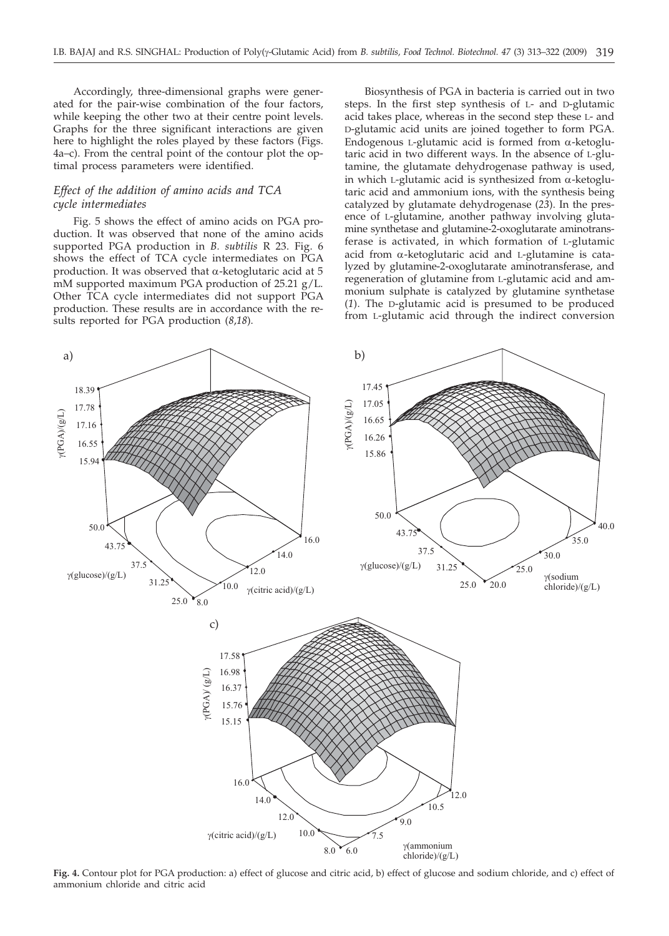Accordingly, three-dimensional graphs were generated for the pair-wise combination of the four factors, while keeping the other two at their centre point levels. Graphs for the three significant interactions are given here to highlight the roles played by these factors (Figs. 4a–c). From the central point of the contour plot the optimal process parameters were identified.

# *Effect of the addition of amino acids and TCA cycle intermediates*

Fig. 5 shows the effect of amino acids on PGA production. It was observed that none of the amino acids supported PGA production in *B. subtilis* R 23. Fig. 6 shows the effect of TCA cycle intermediates on PGA production. It was observed that  $\alpha$ -ketoglutaric acid at 5 mM supported maximum PGA production of 25.21 g/L. Other TCA cycle intermediates did not support PGA production. These results are in accordance with the results reported for PGA production (*8*,*18*).

Biosynthesis of PGA in bacteria is carried out in two steps. In the first step synthesis of L- and D-glutamic acid takes place, whereas in the second step these L- and D-glutamic acid units are joined together to form PGA. Endogenous L-glutamic acid is formed from  $\alpha$ -ketoglutaric acid in two different ways. In the absence of L-glutamine, the glutamate dehydrogenase pathway is used, in which L-glutamic acid is synthesized from  $\alpha$ -ketoglutaric acid and ammonium ions, with the synthesis being catalyzed by glutamate dehydrogenase (*23*). In the presence of L-glutamine, another pathway involving glutamine synthetase and glutamine-2-oxoglutarate aminotransferase is activated, in which formation of L-glutamic acid from a-ketoglutaric acid and L-glutamine is catalyzed by glutamine-2-oxoglutarate aminotransferase, and regeneration of glutamine from L-glutamic acid and ammonium sulphate is catalyzed by glutamine synthetase (*1*). The D-glutamic acid is presumed to be produced from L-glutamic acid through the indirect conversion



**Fig. 4.** Contour plot for PGA production: a) effect of glucose and citric acid, b) effect of glucose and sodium chloride, and c) effect of ammonium chloride and citric acid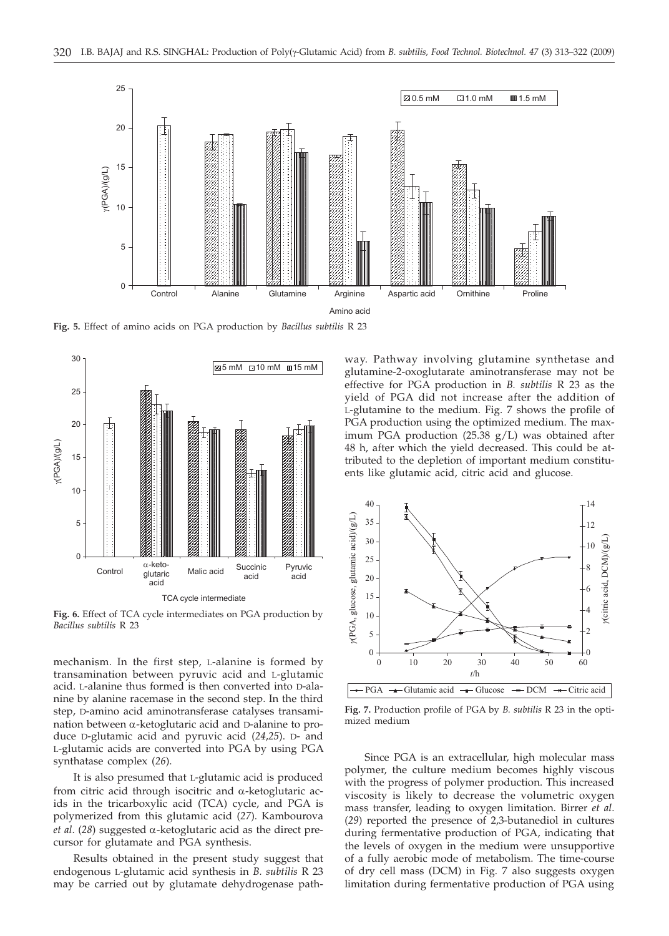

**Fig. 5.** Effect of amino acids on PGA production by *Bacillus subtilis* R 23



**Fig. 6.** Effect of TCA cycle intermediates on PGA production by *Bacillus subtilis* R 23

mechanism. In the first step, L-alanine is formed by transamination between pyruvic acid and L-glutamic acid. L-alanine thus formed is then converted into D-alanine by alanine racemase in the second step. In the third step, D-amino acid aminotransferase catalyses transamination between  $\alpha$ -ketoglutaric acid and D-alanine to produce D-glutamic acid and pyruvic acid (*24*,*25*). D- and L-glutamic acids are converted into PGA by using PGA synthatase complex (*26*).

It is also presumed that L-glutamic acid is produced from citric acid through isocitric and  $\alpha$ -ketoglutaric acids in the tricarboxylic acid (TCA) cycle, and PGA is polymerized from this glutamic acid (*27*). Kambourova *et al*. (*28*) suggested a-ketoglutaric acid as the direct precursor for glutamate and PGA synthesis.

Results obtained in the present study suggest that endogenous L-glutamic acid synthesis in *B. subtilis* R 23 may be carried out by glutamate dehydrogenase path-

way. Pathway involving glutamine synthetase and glutamine-2-oxoglutarate aminotransferase may not be effective for PGA production in *B. subtilis* R 23 as the yield of PGA did not increase after the addition of L-glutamine to the medium. Fig. 7 shows the profile of PGA production using the optimized medium. The maximum PGA production (25.38 g/L) was obtained after 48 h, after which the yield decreased. This could be attributed to the depletion of important medium constituents like glutamic acid, citric acid and glucose.



**Fig. 7.** Production profile of PGA by *B. subtilis* R 23 in the optimized medium

Since PGA is an extracellular, high molecular mass polymer, the culture medium becomes highly viscous with the progress of polymer production. This increased viscosity is likely to decrease the volumetric oxygen mass transfer, leading to oxygen limitation. Birrer *et al*. (*29*) reported the presence of 2,3-butanediol in cultures during fermentative production of PGA, indicating that the levels of oxygen in the medium were unsupportive of a fully aerobic mode of metabolism. The time-course of dry cell mass (DCM) in Fig. 7 also suggests oxygen limitation during fermentative production of PGA using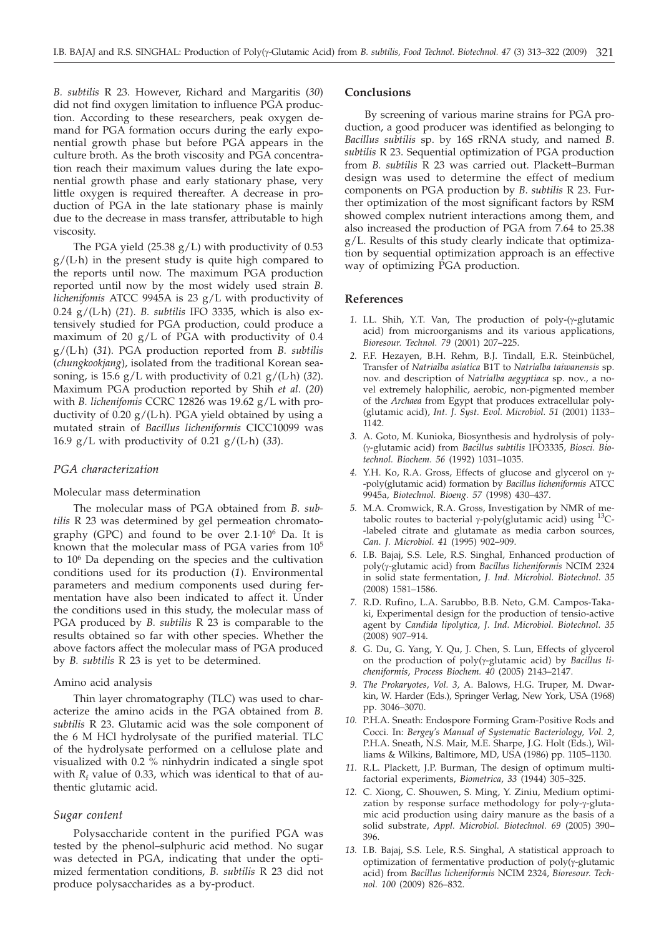*B. subtilis* R 23. However, Richard and Margaritis (*30*) did not find oxygen limitation to influence PGA production. According to these researchers, peak oxygen demand for PGA formation occurs during the early exponential growth phase but before PGA appears in the culture broth. As the broth viscosity and PGA concentration reach their maximum values during the late exponential growth phase and early stationary phase, very little oxygen is required thereafter. A decrease in production of PGA in the late stationary phase is mainly due to the decrease in mass transfer, attributable to high viscosity.

The PGA yield (25.38 g/L) with productivity of 0.53  $g/(L<sub>h</sub>)$  in the present study is quite high compared to the reports until now. The maximum PGA production reported until now by the most widely used strain *B. lichenifomis* ATCC 9945A is 23 g/L with productivity of 0.24 g/(L×h) (*21*). *B. subtilis* IFO 3335, which is also extensively studied for PGA production, could produce a maximum of 20 g/L of PGA with productivity of 0.4 g/(L×h) (*31*). PGA production reported from *B. subtilis* (*chungkookjang*), isolated from the traditional Korean seasoning, is 15.6  $g/L$  with productivity of 0.21  $g/(L \cdot h)$  (32). Maximum PGA production reported by Shih *et al*. (*20*) with *B. lichenifomis* CCRC 12826 was 19.62 g/L with productivity of 0.20  $g/(L<sub>h</sub>)$ . PGA yield obtained by using a mutated strain of *Bacillus licheniformis* CICC10099 was 16.9 g/L with productivity of  $0.21$  g/(L·h) (33).

## *PGA characterization*

## Molecular mass determination

The molecular mass of PGA obtained from *B. subtilis* R 23 was determined by gel permeation chromatography (GPC) and found to be over  $2.1 \cdot 10^6$  Da. It is known that the molecular mass of PGA varies from 105 to 106 Da depending on the species and the cultivation conditions used for its production (*1*). Environmental parameters and medium components used during fermentation have also been indicated to affect it. Under the conditions used in this study, the molecular mass of PGA produced by *B. subtilis* R 23 is comparable to the results obtained so far with other species. Whether the above factors affect the molecular mass of PGA produced by *B. subtilis* R 23 is yet to be determined.

# Amino acid analysis

Thin layer chromatography (TLC) was used to characterize the amino acids in the PGA obtained from *B. subtilis* R 23. Glutamic acid was the sole component of the 6 M HCl hydrolysate of the purified material. TLC of the hydrolysate performed on a cellulose plate and visualized with 0.2 % ninhydrin indicated a single spot with  $R_f$  value of 0.33, which was identical to that of authentic glutamic acid.

## *Sugar content*

Polysaccharide content in the purified PGA was tested by the phenol–sulphuric acid method. No sugar was detected in PGA, indicating that under the optimized fermentation conditions, *B. subtilis* R 23 did not produce polysaccharides as a by-product.

## **Conclusions**

By screening of various marine strains for PGA production, a good producer was identified as belonging to *Bacillus subtilis* sp. by 16S rRNA study, and named *B*. *subtilis* R 23. Sequential optimization of PGA production from *B. subtilis* R 23 was carried out. Plackett–Burman design was used to determine the effect of medium components on PGA production by *B*. *subtilis* R 23. Further optimization of the most significant factors by RSM showed complex nutrient interactions among them, and also increased the production of PGA from 7.64 to 25.38 g/L. Results of this study clearly indicate that optimization by sequential optimization approach is an effective way of optimizing PGA production.

# **References**

- 1. I.L. Shih, Y.T. Van, The production of poly-(y-glutamic acid) from microorganisms and its various applications, *Bioresour. Technol. 79* (2001) 207–225.
- *2.* F.F. Hezayen, B.H. Rehm, B.J. Tindall, E.R. Steinbüchel, Transfer of *Natrialba asiatica* B1T to *Natrialba taiwanensis* sp. nov. and description of *Natrialba aegyptiaca* sp. nov., a novel extremely halophilic, aerobic, non-pigmented member of the *Archaea* from Egypt that produces extracellular poly- (glutamic acid), *Int. J. Syst. Evol. Microbiol. 51* (2001) 1133– 1142.
- *3.* A. Goto, M. Kunioka, Biosynthesis and hydrolysis of poly- (g-glutamic acid) from *Bacillus subtilis* IFO3335, *Biosci. Biotechnol. Biochem. 56* (1992) 1031–1035.
- 4. Y.H. Ko, R.A. Gross, Effects of glucose and glycerol on  $\gamma$ --poly(glutamic acid) formation by *Bacillus licheniformis* ATCC 9945a, *Biotechnol. Bioeng. 57* (1998) 430–437.
- *5.* M.A. Cromwick, R.A. Gross, Investigation by NMR of metabolic routes to bacterial  $\gamma$ -poly(glutamic acid) using  $^{13}$ C--labeled citrate and glutamate as media carbon sources, *Can. J. Microbiol. 41* (1995) 902–909.
- *6.* I.B. Bajaj, S.S. Lele, R.S. Singhal, Enhanced production of poly(g-glutamic acid) from *Bacillus licheniformis* NCIM 2324 in solid state fermentation, *J. Ind. Microbiol. Biotechnol. 35* (2008) 1581–1586.
- *7.* R.D. Rufino, L.A. Sarubbo, B.B. Neto, G.M. Campos-Takaki, Experimental design for the production of tensio-active agent by *Candida lipolytica*, *J. Ind. Microbiol. Biotechnol. 35* (2008) 907–914.
- *8.* G. Du, G. Yang, Y. Qu, J. Chen, S. Lun, Effects of glycerol on the production of poly(g-glutamic acid) by *Bacillus licheniformis*, *Process Biochem. 40* (2005) 2143–2147.
- *9. The Prokaryotes*, *Vol. 3,* A. Balows, H.G. Truper, M. Dwarkin, W. Harder (Eds.), Springer Verlag, New York, USA (1968) pp. 3046–3070.
- *10.* P.H.A. Sneath: Endospore Forming Gram-Positive Rods and Cocci. In: *Bergey's Manual of Systematic Bacteriology, Vol. 2,* P.H.A. Sneath, N.S. Mair, M.E. Sharpe, J.G. Holt (Eds.), Williams & Wilkins, Baltimore, MD, USA (1986) pp. 1105–1130.
- *11.* R.L. Plackett, J.P. Burman, The design of optimum multifactorial experiments, *Biometrica*, *33* (1944) 305–325.
- *12.* C. Xiong, C. Shouwen, S. Ming, Y. Ziniu, Medium optimization by response surface methodology for poly- $\gamma$ -glutamic acid production using dairy manure as the basis of a solid substrate, *Appl. Microbiol. Biotechnol. 69* (2005) 390– 396.
- *13.* I.B. Bajaj, S.S. Lele, R.S. Singhal, A statistical approach to optimization of fermentative production of  $poly(\gamma$ -glutamic acid) from *Bacillus licheniformis* NCIM 2324, *Bioresour. Technol. 100* (2009) 826–832.